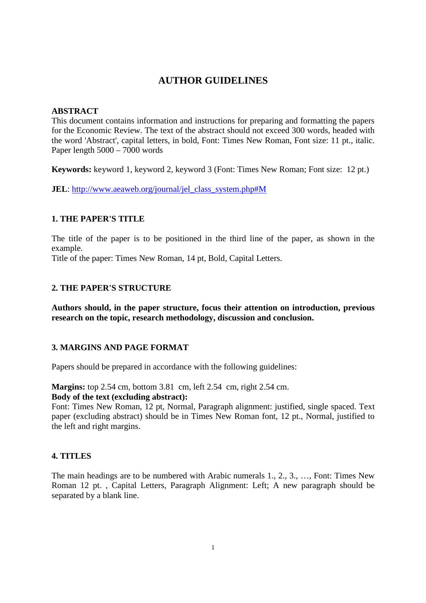# **AUTHOR GUIDELINES**

## **ABSTRACT**

This document contains information and instructions for preparing and formatting the papers for the Economic Review. The text of the abstract should not exceed 300 words, headed with the word 'Abstract', capital letters, in bold, Font: Times New Roman, Font size: 11 pt., italic. Paper length 5000 – 7000 words

**Keywords:** keyword 1, keyword 2, keyword 3 (Font: Times New Roman; Font size: 12 pt.)

**JEL**: http://www.aeaweb.org/journal/jel\_class\_system.php#M

## **1. THE PAPER'S TITLE**

The title of the paper is to be positioned in the third line of the paper, as shown in the example.

Title of the paper: Times New Roman, 14 pt, Bold, Capital Letters.

## **2. THE PAPER'S STRUCTURE**

**Authors should, in the paper structure, focus their attention on introduction, previous research on the topic, research methodology, discussion and conclusion.** 

## **3. MARGINS AND PAGE FORMAT**

Papers should be prepared in accordance with the following guidelines:

**Margins:** top 2.54 cm, bottom 3.81 cm, left 2.54 cm, right 2.54 cm.

## **Body of the text (excluding abstract):**

Font: Times New Roman, 12 pt, Normal, Paragraph alignment: justified, single spaced. Text paper (excluding abstract) should be in Times New Roman font, 12 pt., Normal, justified to the left and right margins.

#### **4. TITLES**

The main headings are to be numbered with Arabic numerals 1., 2., 3., …, Font: Times New Roman 12 pt. , Capital Letters, Paragraph Alignment: Left; A new paragraph should be separated by a blank line.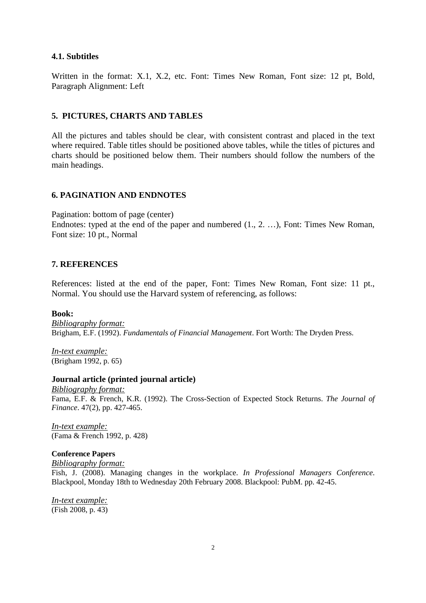#### **4.1. Subtitles**

Written in the format: X.1, X.2, etc. Font: Times New Roman, Font size: 12 pt, Bold, Paragraph Alignment: Left

#### **5. PICTURES, CHARTS AND TABLES**

All the pictures and tables should be clear, with consistent contrast and placed in the text where required. Table titles should be positioned above tables, while the titles of pictures and charts should be positioned below them. Their numbers should follow the numbers of the main headings.

## **6. PAGINATION AND ENDNOTES**

Pagination: bottom of page (center)

Endnotes: typed at the end of the paper and numbered (1., 2. …), Font: Times New Roman, Font size: 10 pt., Normal

#### **7. REFERENCES**

References: listed at the end of the paper, Font: Times New Roman, Font size: 11 pt., Normal. You should use the Harvard system of referencing, as follows:

#### **Book:**

*Bibliography format:* Brigham, E.F. (1992). *Fundamentals of Financial Management*. Fort Worth: The Dryden Press.

*In-text example:* (Brigham 1992, p. 65)

#### **Journal article (printed journal article)**

*Bibliography format:* Fama, E.F. & French, K.R. (1992). The Cross-Section of Expected Stock Returns. *The Journal of Finance*. 47(2), pp. 427-465.

*In-text example:* (Fama & French 1992, p. 428)

#### **Conference Papers**

*Bibliography format:*

Fish, J. (2008). Managing changes in the workplace. *In Professional Managers Conference*. Blackpool, Monday 18th to Wednesday 20th February 2008. Blackpool: PubM. pp. 42-45.

*In-text example:* (Fish 2008, p. 43)